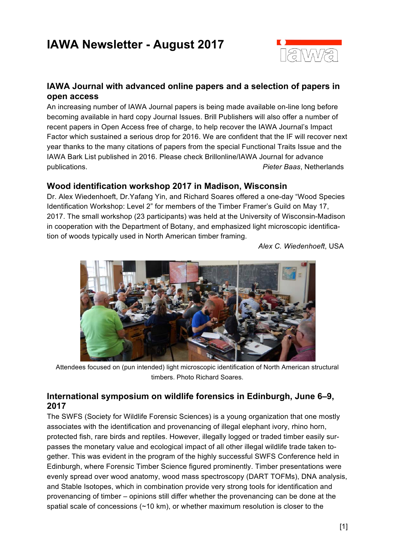# **IAWA Newsletter - August 2017**



## **IAWA Journal with advanced online papers and a selection of papers in open access**

An increasing number of IAWA Journal papers is being made available on-line long before becoming available in hard copy Journal Issues. Brill Publishers will also offer a number of recent papers in Open Access free of charge, to help recover the IAWA Journal's Impact Factor which sustained a serious drop for 2016. We are confident that the IF will recover next year thanks to the many citations of papers from the special Functional Traits Issue and the IAWA Bark List published in 2016. Please check Brillonline/IAWA Journal for advance publications. *Pieter Baas*, Netherlands

### **Wood identification workshop 2017 in Madison, Wisconsin**

Dr. Alex Wiedenhoeft, Dr.Yafang Yin, and Richard Soares offered a one-day "Wood Species Identification Workshop: Level 2" for members of the Timber Framer's Guild on May 17, 2017. The small workshop (23 participants) was held at the University of Wisconsin-Madison in cooperation with the Department of Botany, and emphasized light microscopic identification of woods typically used in North American timber framing.

*Alex C. Wiedenhoeft*, USA



Attendees focused on (pun intended) light microscopic identification of North American structural timbers. Photo Richard Soares.

## **International symposium on wildlife forensics in Edinburgh, June 6–9, 2017**

The SWFS (Society for Wildlife Forensic Sciences) is a young organization that one mostly associates with the identification and provenancing of illegal elephant ivory, rhino horn, protected fish, rare birds and reptiles. However, illegally logged or traded timber easily surpasses the monetary value and ecological impact of all other illegal wildlife trade taken together. This was evident in the program of the highly successful SWFS Conference held in Edinburgh, where Forensic Timber Science figured prominently. Timber presentations were evenly spread over wood anatomy, wood mass spectroscopy (DART TOFMs), DNA analysis, and Stable Isotopes, which in combination provide very strong tools for identification and provenancing of timber – opinions still differ whether the provenancing can be done at the spatial scale of concessions (~10 km), or whether maximum resolution is closer to the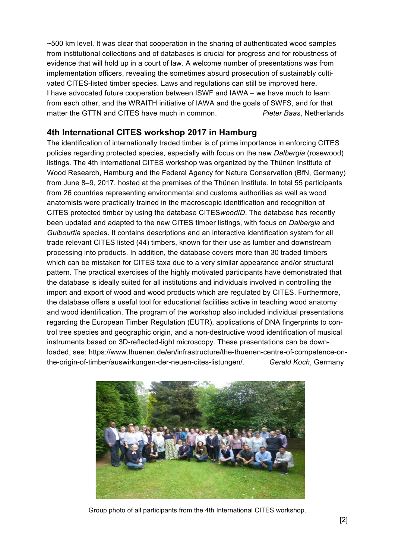~500 km level. It was clear that cooperation in the sharing of authenticated wood samples from institutional collections and of databases is crucial for progress and for robustness of evidence that will hold up in a court of law. A welcome number of presentations was from implementation officers, revealing the sometimes absurd prosecution of sustainably cultivated CITES-listed timber species. Laws and regulations can still be improved here. I have advocated future cooperation between ISWF and IAWA – we have much to learn from each other, and the WRAITH initiative of IAWA and the goals of SWFS, and for that matter the GTTN and CITES have much in common. *Pieter Baas*, Netherlands

## **4th International CITES workshop 2017 in Hamburg**

The identification of internationally traded timber is of prime importance in enforcing CITES policies regarding protected species, especially with focus on the new *Dalbergia* (rosewood) listings. The 4th International CITES workshop was organized by the Thünen Institute of Wood Research, Hamburg and the Federal Agency for Nature Conservation (BfN, Germany) from June 8–9, 2017, hosted at the premises of the Thünen Institute. In total 55 participants from 26 countries representing environmental and customs authorities as well as wood anatomists were practically trained in the macroscopic identification and recognition of CITES protected timber by using the database CITES*woodID*. The database has recently been updated and adapted to the new CITES timber listings, with focus on *Dalbergia* and *Guibourtia* species. It contains descriptions and an interactive identification system for all trade relevant CITES listed (44) timbers, known for their use as lumber and downstream processing into products. In addition, the database covers more than 30 traded timbers which can be mistaken for CITES taxa due to a very similar appearance and/or structural pattern. The practical exercises of the highly motivated participants have demonstrated that the database is ideally suited for all institutions and individuals involved in controlling the import and export of wood and wood products which are regulated by CITES. Furthermore, the database offers a useful tool for educational facilities active in teaching wood anatomy and wood identification. The program of the workshop also included individual presentations regarding the European Timber Regulation (EUTR), applications of DNA fingerprints to control tree species and geographic origin, and a non-destructive wood identification of musical instruments based on 3D-reflected-light microscopy. These presentations can be downloaded, see: https://www.thuenen.de/en/infrastructure/the-thuenen-centre-of-competence-onthe-origin-of-timber/auswirkungen-der-neuen-cites-listungen/. *Gerald Koch*, Germany



Group photo of all participants from the 4th International CITES workshop.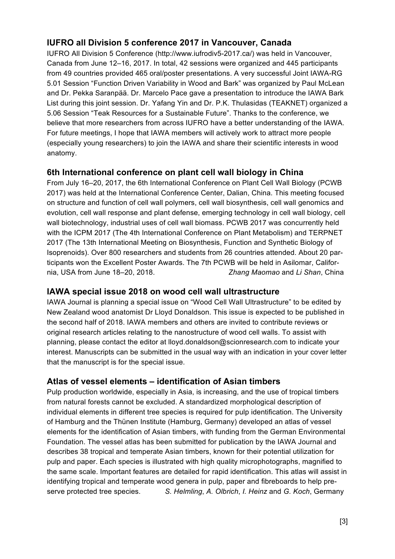# **IUFRO all Division 5 conference 2017 in Vancouver, Canada**

IUFRO All Division 5 Conference (http://www.iufrodiv5-2017.ca/) was held in Vancouver, Canada from June 12–16, 2017. In total, 42 sessions were organized and 445 participants from 49 countries provided 465 oral/poster presentations. A very successful Joint IAWA-RG 5.01 Session "Function Driven Variability in Wood and Bark" was organized by Paul McLean and Dr. Pekka Saranpää. Dr. Marcelo Pace gave a presentation to introduce the IAWA Bark List during this joint session. Dr. Yafang Yin and Dr. P.K. Thulasidas (TEAKNET) organized a 5.06 Session "Teak Resources for a Sustainable Future". Thanks to the conference, we believe that more researchers from across IUFRO have a better understanding of the IAWA. For future meetings, I hope that IAWA members will actively work to attract more people (especially young researchers) to join the IAWA and share their scientific interests in wood anatomy.

## **6th International conference on plant cell wall biology in China**

From July 16–20, 2017, the 6th International Conference on Plant Cell Wall Biology (PCWB 2017) was held at the International Conference Center, Dalian, China. This meeting focused on structure and function of cell wall polymers, cell wall biosynthesis, cell wall genomics and evolution, cell wall response and plant defense, emerging technology in cell wall biology, cell wall biotechnology, industrial uses of cell wall biomass. PCWB 2017 was concurrently held with the ICPM 2017 (The 4th International Conference on Plant Metabolism) and TERPNET 2017 (The 13th International Meeting on Biosynthesis, Function and Synthetic Biology of Isoprenoids). Over 800 researchers and students from 26 countries attended. About 20 participants won the Excellent Poster Awards. The 7th PCWB will be held in Asilomar, California, USA from June 18–20, 2018. *Zhang Maomao* and *Li Shan*, China

### **IAWA special issue 2018 on wood cell wall ultrastructure**

IAWA Journal is planning a special issue on "Wood Cell Wall Ultrastructure" to be edited by New Zealand wood anatomist Dr Lloyd Donaldson. This issue is expected to be published in the second half of 2018. IAWA members and others are invited to contribute reviews or original research articles relating to the nanostructure of wood cell walls. To assist with planning, please contact the editor at lloyd.donaldson@scionresearch.com to indicate your interest. Manuscripts can be submitted in the usual way with an indication in your cover letter that the manuscript is for the special issue.

## **Atlas of vessel elements – identification of Asian timbers**

Pulp production worldwide, especially in Asia, is increasing, and the use of tropical timbers from natural forests cannot be excluded. A standardized morphological description of individual elements in different tree species is required for pulp identification. The University of Hamburg and the Thünen Institute (Hamburg, Germany) developed an atlas of vessel elements for the identification of Asian timbers, with funding from the German Environmental Foundation. The vessel atlas has been submitted for publication by the IAWA Journal and describes 38 tropical and temperate Asian timbers, known for their potential utilization for pulp and paper. Each species is illustrated with high quality microphotographs, magnified to the same scale. Important features are detailed for rapid identification. This atlas will assist in identifying tropical and temperate wood genera in pulp, paper and fibreboards to help preserve protected tree species. *S. Helmling*, *A. Olbrich*, *I. Heinz* and *G. Koch*, Germany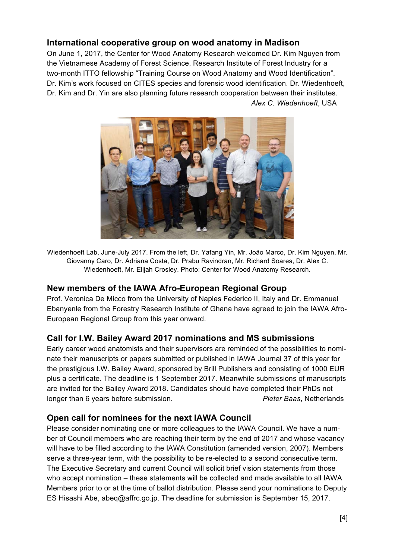## **International cooperative group on wood anatomy in Madison**

On June 1, 2017, the Center for Wood Anatomy Research welcomed Dr. Kim Nguyen from the Vietnamese Academy of Forest Science, Research Institute of Forest Industry for a two-month ITTO fellowship "Training Course on Wood Anatomy and Wood Identification". Dr. Kim's work focused on CITES species and forensic wood identification. Dr. Wiedenhoeft, Dr. Kim and Dr. Yin are also planning future research cooperation between their institutes. *Alex C. Wiedenhoeft*, USA



Wiedenhoeft Lab, June-July 2017. From the left, Dr. Yafang Yin, Mr. João Marco, Dr. Kim Nguyen, Mr. Giovanny Caro, Dr. Adriana Costa, Dr. Prabu Ravindran, Mr. Richard Soares, Dr. Alex C. Wiedenhoeft, Mr. Elijah Crosley. Photo: Center for Wood Anatomy Research.

### **New members of the IAWA Afro-European Regional Group**

Prof. Veronica De Micco from the University of Naples Federico II, Italy and Dr. Emmanuel Ebanyenle from the Forestry Research Institute of Ghana have agreed to join the IAWA Afro-European Regional Group from this year onward.

## **Call for I.W. Bailey Award 2017 nominations and MS submissions**

Early career wood anatomists and their supervisors are reminded of the possibilities to nominate their manuscripts or papers submitted or published in IAWA Journal 37 of this year for the prestigious I.W. Bailey Award, sponsored by Brill Publishers and consisting of 1000 EUR plus a certificate. The deadline is 1 September 2017. Meanwhile submissions of manuscripts are invited for the Bailey Award 2018. Candidates should have completed their PhDs not longer than 6 years before submission. *Pieter Baas*, Netherlands

### **Open call for nominees for the next IAWA Council**

Please consider nominating one or more colleagues to the IAWA Council. We have a number of Council members who are reaching their term by the end of 2017 and whose vacancy will have to be filled according to the IAWA Constitution (amended version, 2007). Members serve a three-year term, with the possibility to be re-elected to a second consecutive term. The Executive Secretary and current Council will solicit brief vision statements from those who accept nomination – these statements will be collected and made available to all IAWA Members prior to or at the time of ballot distribution. Please send your nominations to Deputy ES Hisashi Abe, abeq@affrc.go.jp. The deadline for submission is September 15, 2017.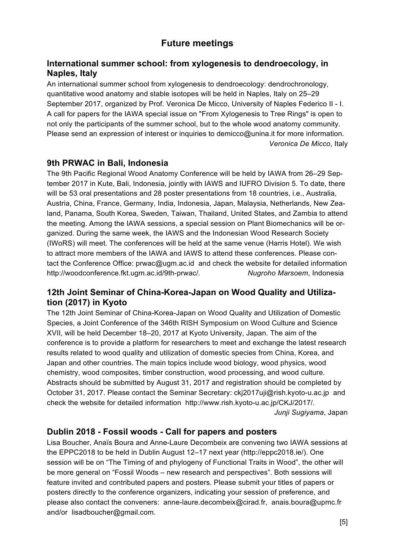## **International summer school: from xylogenesis to dendroecology, in Naples, Italy**

An international summer school from xylogenesis to dendroecology: dendrochronology, quantitative wood anatomy and stable isotopes will be held in Naples, Italy on 25–29 September 2017, organized by Prof. Veronica De Micco, University of Naples Federico II - I. A call for papers for the IAWA special issue on "From Xylogenesis to Tree Rings" is open to not only the participants of the summer school, but to the whole wood anatomy community. Please send an expression of interest or inquiries to demicco@unina.it for more information. *Veronica De Micco*, Italy

## **9th PRWAC in Bali, Indonesia**

The 9th Pacific Regional Wood Anatomy Conference will be held by IAWA from 26–29 September 2017 in Kute, Bali, Indonesia, jointly with IAWS and IUFRO Division 5. To date, there will be 53 oral presentations and 28 poster presentations from 18 countries, i.e., Australia, Austria, China, France, Germany, India, Indonesia, Japan, Malaysia, Netherlands, New Zealand, Panama, South Korea, Sweden, Taiwan, Thailand, United States, and Zambia to attend the meeting. Among the IAWA sessions, a special session on Plant Biomechanics will be organized. During the same week, the IAWS and the Indonesian Wood Research Society (IWoRS) will meet. The conferences will be held at the same venue (Harris Hotel). We wish to attract more members of the IAWA and IAWS to attend these conferences. Please contact the Conference Office: prwac@ugm.ac.id and check the website for detailed information http://woodconference.fkt.ugm.ac.id/9th-prwac/. *Nugroho Marsoem*, Indonesia

## **12th Joint Seminar of China-Korea-Japan on Wood Quality and Utilization (2017) in Kyoto**

The 12th Joint Seminar of China-Korea-Japan on Wood Quality and Utilization of Domestic Species, a Joint Conference of the 346th RISH Symposium on Wood Culture and Science XVII, will be held December 18–20, 2017 at Kyoto University, Japan. The aim of the conference is to provide a platform for researchers to meet and exchange the latest research results related to wood quality and utilization of domestic species from China, Korea, and Japan and other countries. The main topics include wood biology, wood physics, wood chemistry, wood composites, timber construction, wood processing, and wood culture. Abstracts should be submitted by August 31, 2017 and registration should be completed by October 31, 2017. Please contact the Seminar Secretary: ckj2017uji@rish.kyoto-u.ac.jp and check the website for detailed information http://www.rish.kyoto-u.ac.jp/CKJ/2017/.

*Junji Sugiyama*, Japan

## **Dublin 2018 - Fossil woods - Call for papers and posters**

Lisa Boucher, Anaïs Boura and Anne-Laure Decombeix are convening two IAWA sessions at the EPPC2018 to be held in Dublin August 12–17 next year (http://eppc2018.ie/). One session will be on "The Timing of and phylogeny of Functional Traits in Wood", the other will be more general on "Fossil Woods – new research and perspectives". Both sessions will feature invited and contributed papers and posters. Please submit your titles of papers or posters directly to the conference organizers, indicating your session of preference, and please also contact the conveners: anne-laure.decombeix@cirad.fr, anais.boura@upmc.fr and/or lisadboucher@gmail.com.